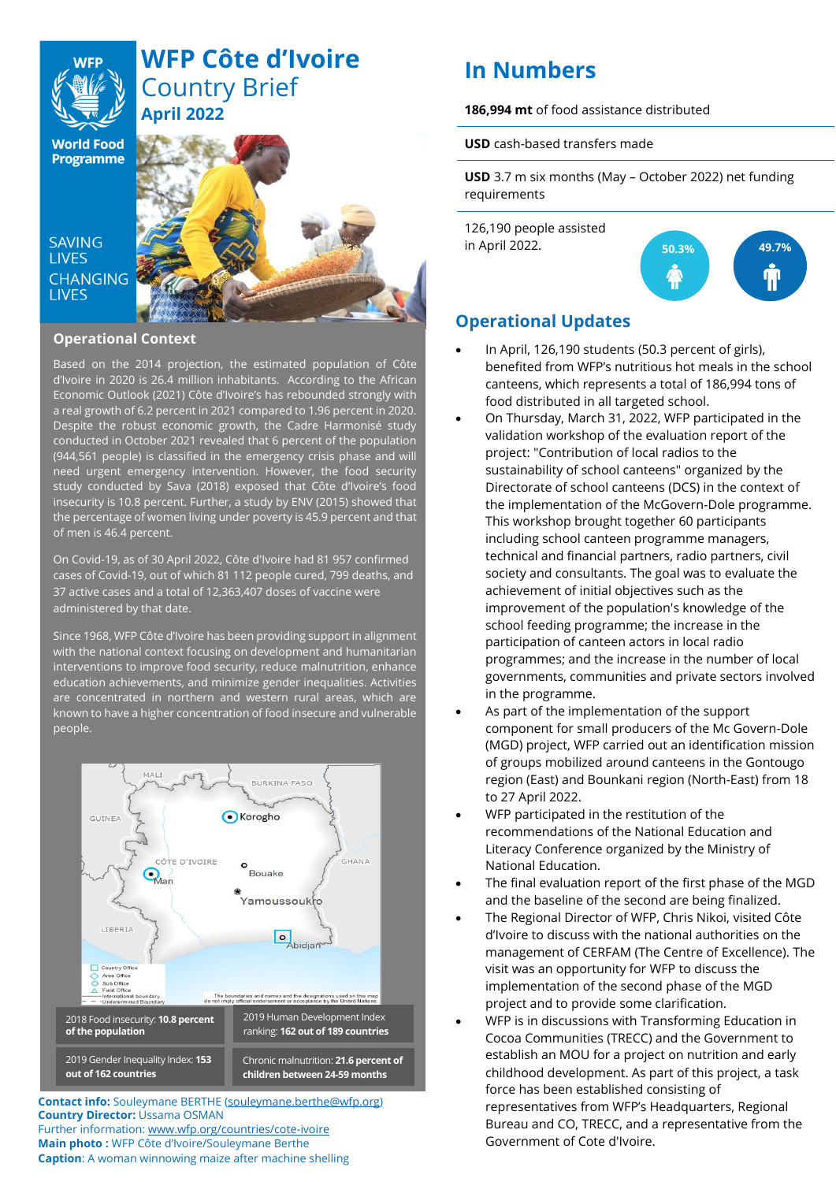# **WFP Côte d'Ivoire** Country Brief **April 2022**

**World Food Programme** 

**SAVING LIVES CHANGING LIVES** 



### **Operational Context**

Based on the 2014 projection, the estimated population of Côte d'Ivoire in 2020 is 26.4 million inhabitants. According to the African Economic Outlook (2021) Côte d'Ivoire's has rebounded strongly with a real growth of 6.2 percent in 2021 compared to 1.96 percent in 2020. Despite the robust economic growth, the Cadre Harmonisé study conducted in October 2021 revealed that 6 percent of the population (944,561 people) is classified in the emergency crisis phase and will need urgent emergency intervention. However, the food security study conducted by Sava (2018) exposed that Côte d'Ivoire's food insecurity is 10.8 percent. Further, a study by ENV (2015) showed that the percentage of women living under poverty is 45.9 percent and that of men is 46.4 percent.

On Covid-19, as of 30 April 2022, Côte d'Ivoire had 81 957 confirmed cases of Covid-19, out of which 81 112 people cured, 799 deaths, and 37 active cases and a total of 12,363,407 doses of vaccine were administered by that date.

Since 1968, WFP Côte d'Ivoire has been providing support in alignment with the national context focusing on development and humanitarian interventions to improve food security, reduce malnutrition, enhance education achievements, and minimize gender inequalities. Activities are concentrated in northern and western rural areas, which are known to have a higher concentration of food insecure and vulnerable people.



**Contact info:** Souleymane BERTHE [\(souleymane.berthe@wfp.org\)](mailto:souleymane.berthe@wfp.org) **Country Director:** Ussama OSMAN Further information[: www.wfp.org/countries/cote-ivoire](http://www.wfp.org/countries/cote-ivoire) **Main photo :** WFP Côte d'Ivoire/Souleymane Berthe

**Caption**: A woman winnowing maize after machine shelling

# **In Numbers**

**186,994 mt** of food assistance distributed

**USD** cash-based transfers made

**USD** 3.7 m six months (May – October 2022) net funding requirements

126,190 people assisted in April 2022.



# **Operational Updates**

- In April, 126,190 students (50.3 percent of girls), benefited from WFP's nutritious hot meals in the school canteens, which represents a total of 186,994 tons of food distributed in all targeted school.
- On Thursday, March 31, 2022, WFP participated in the validation workshop of the evaluation report of the project: "Contribution of local radios to the sustainability of school canteens" organized by the Directorate of school canteens (DCS) in the context of the implementation of the McGovern-Dole programme. This workshop brought together 60 participants including school canteen programme managers, technical and financial partners, radio partners, civil society and consultants. The goal was to evaluate the achievement of initial objectives such as the improvement of the population's knowledge of the school feeding programme; the increase in the participation of canteen actors in local radio programmes; and the increase in the number of local governments, communities and private sectors involved in the programme.
- As part of the implementation of the support component for small producers of the Mc Govern-Dole (MGD) project, WFP carried out an identification mission of groups mobilized around canteens in the Gontougo region (East) and Bounkani region (North-East) from 18 to 27 April 2022.
- WFP participated in the restitution of the recommendations of the National Education and Literacy Conference organized by the Ministry of National Education.
- The final evaluation report of the first phase of the MGD and the baseline of the second are being finalized.
- The Regional Director of WFP, Chris Nikoi, visited Côte d'Ivoire to discuss with the national authorities on the management of CERFAM (The Centre of Excellence). The visit was an opportunity for WFP to discuss the implementation of the second phase of the MGD project and to provide some clarification.
- WFP is in discussions with Transforming Education in Cocoa Communities (TRECC) and the Government to establish an MOU for a project on nutrition and early childhood development. As part of this project, a task force has been established consisting of representatives from WFP's Headquarters, Regional Bureau and CO, TRECC, and a representative from the Government of Cote d'Ivoire.